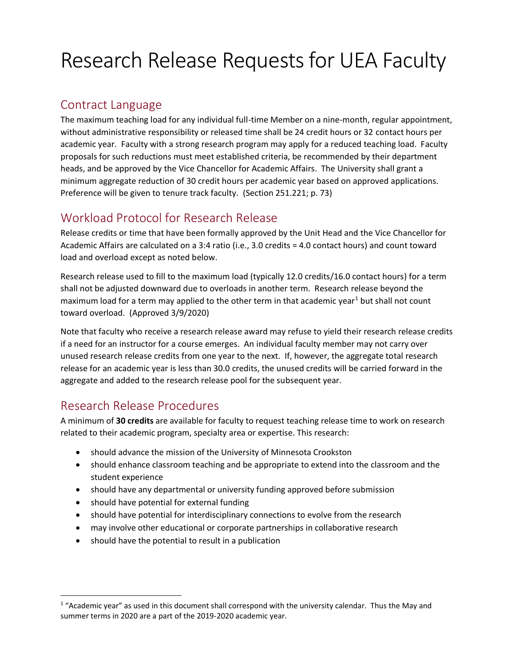# Research Release Requests for UEA Faculty

## Contract Language

The maximum teaching load for any individual full-time Member on a nine-month, regular appointment, without administrative responsibility or released time shall be 24 credit hours or 32 contact hours per academic year. Faculty with a strong research program may apply for a reduced teaching load. Faculty proposals for such reductions must meet established criteria, be recommended by their department heads, and be approved by the Vice Chancellor for Academic Affairs. The University shall grant a minimum aggregate reduction of 30 credit hours per academic year based on approved applications. Preference will be given to tenure track faculty. (Section 251.221; p. 73)

## Workload Protocol for Research Release

Release credits or time that have been formally approved by the Unit Head and the Vice Chancellor for Academic Affairs are calculated on a 3:4 ratio (i.e., 3.0 credits = 4.0 contact hours) and count toward load and overload except as noted below.

Research release used to fill to the maximum load (typically 12.0 credits/16.0 contact hours) for a term shall not be adjusted downward due to overloads in another term. Research release beyond the maximum load for a term may applied to the other term in that academic year<sup>1</sup> but shall not count toward overload. (Approved 3/9/2020)

Note that faculty who receive a research release award may refuse to yield their research release credits if a need for an instructor for a course emerges. An individual faculty member may not carry over unused research release credits from one year to the next. If, however, the aggregate total research release for an academic year is less than 30.0 credits, the unused credits will be carried forward in the aggregate and added to the research release pool for the subsequent year.

## Research Release Procedures

j

A minimum of **30 credits** are available for faculty to request teaching release time to work on research related to their academic program, specialty area or expertise. This research:

- should advance the mission of the University of Minnesota Crookston
- should enhance classroom teaching and be appropriate to extend into the classroom and the student experience
- should have any departmental or university funding approved before submission
- should have potential for external funding
- should have potential for interdisciplinary connections to evolve from the research
- may involve other educational or corporate partnerships in collaborative research
- should have the potential to result in a publication

 $1$  "Academic year" as used in this document shall correspond with the university calendar. Thus the May and summer terms in 2020 are a part of the 2019-2020 academic year.